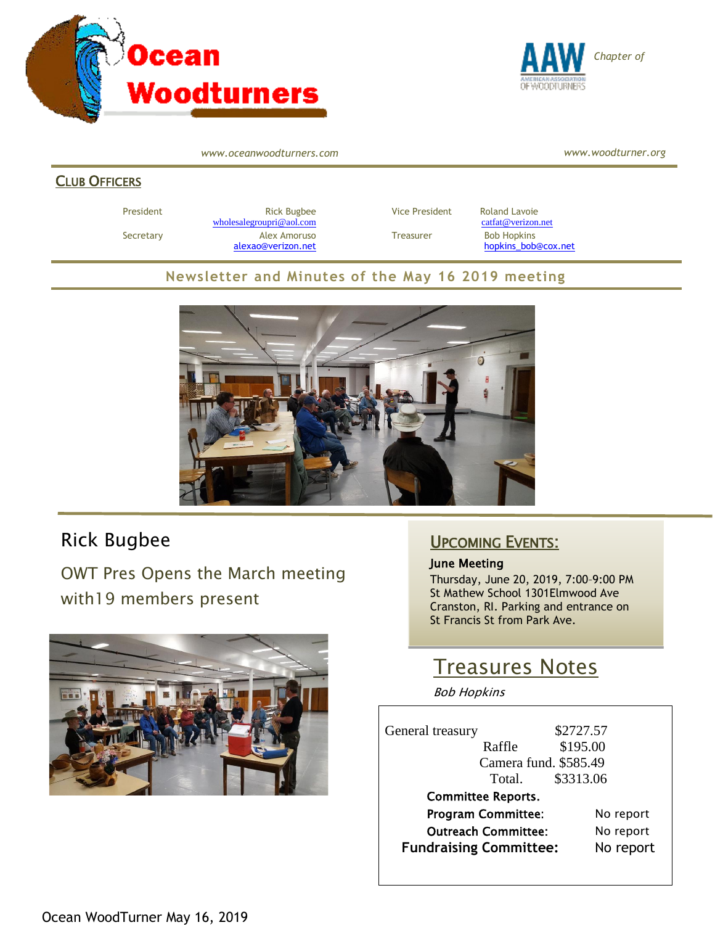



*www.oceanwoodturners.com*

*www.woodturner.org*

#### **CLUB OFFICERS**

President **Rick Bugbee Rick Bugbee Vice President** Roland Lavoie [wholesalegroupri@aol.com](mailto:wholesalegroupri@aol.com) [catfat@verizon.net](mailto:catfat@verizon.net) Secretary **Alex Amoruso** Treasurer Bob Hopkins

[alexao@verizon.net](mailto:alexao@verizon.net) [hopkins\\_bob@cox.net](mailto:hopkins_bob@cox.net)

#### **Newsletter and Minutes of the May 16 2019 meeting**



## Rick Bugbee

OWT Pres Opens the March meeting with19 members present



### UPCOMING EVENTS:

#### June Meeting

Thursday, June 20, 2019, 7:00–9:00 PM St Mathew School 1301Elmwood Ave Cranston, RI. Parking and entrance on St Francis St from Park Ave.

# Treasures Notes

Bob Hopkins

| General treasury |                           | \$2727.57 |           |  |
|------------------|---------------------------|-----------|-----------|--|
|                  | Raffle                    | \$195.00  |           |  |
|                  | Camera fund. \$585.49     |           |           |  |
|                  | Total.                    | \$3313.06 |           |  |
|                  | <b>Committee Reports.</b> |           |           |  |
|                  | <b>Program Committee:</b> |           | No report |  |
|                  |                           |           |           |  |

| <b>Outreach Committee:</b>    | No report |
|-------------------------------|-----------|
| <b>Fundraising Committee:</b> | No report |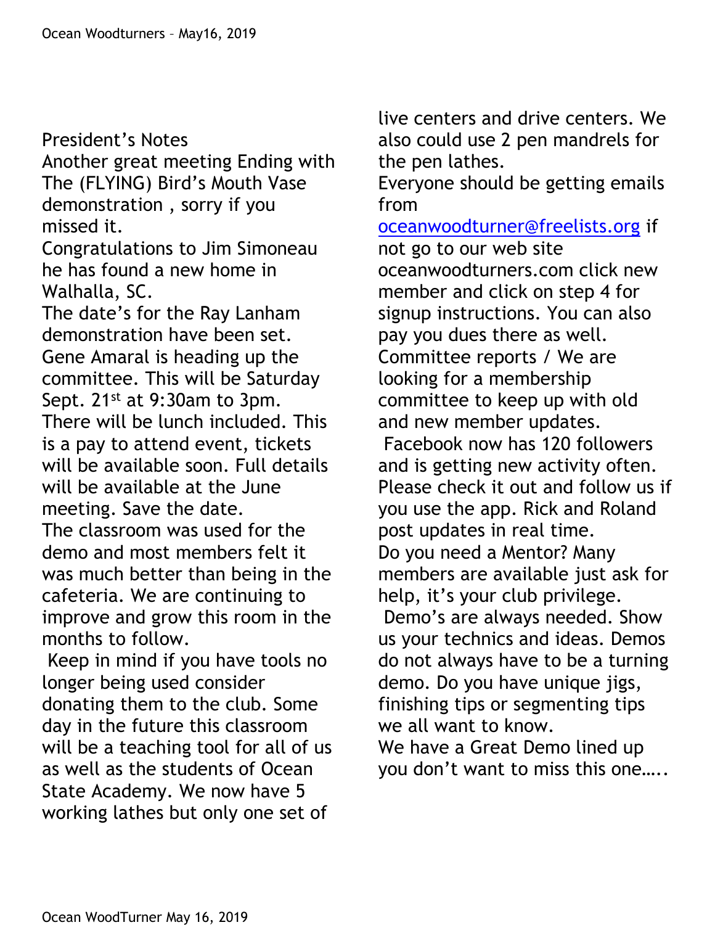President's Notes Another great meeting Ending with The (FLYING) Bird's Mouth Vase demonstration , sorry if you missed it. Congratulations to Jim Simoneau he has found a new home in Walhalla, SC. The date's for the Ray Lanham demonstration have been set. Gene Amaral is heading up the committee. This will be Saturday Sept. 21<sup>st</sup> at 9:30am to 3pm. There will be lunch included. This is a pay to attend event, tickets will be available soon. Full details will be available at the June meeting. Save the date. The classroom was used for the demo and most members felt it was much better than being in the

cafeteria. We are continuing to improve and grow this room in the months to follow.

Keep in mind if you have tools no longer being used consider donating them to the club. Some day in the future this classroom will be a teaching tool for all of us as well as the students of Ocean State Academy. We now have 5 working lathes but only one set of

live centers and drive centers. We also could use 2 pen mandrels for the pen lathes.

Everyone should be getting emails from

[oceanwoodturner@freelists.org](mailto:oceanwoodturner@freelists.org) if not go to our web site oceanwoodturners.com click new member and click on step 4 for signup instructions. You can also pay you dues there as well. Committee reports / We are looking for a membership committee to keep up with old and new member updates. Facebook now has 120 followers and is getting new activity often. Please check it out and follow us if you use the app. Rick and Roland post updates in real time. Do you need a Mentor? Many members are available just ask for help, it's your club privilege. Demo's are always needed. Show us your technics and ideas. Demos do not always have to be a turning demo. Do you have unique jigs, finishing tips or segmenting tips we all want to know. We have a Great Demo lined up

you don't want to miss this one…..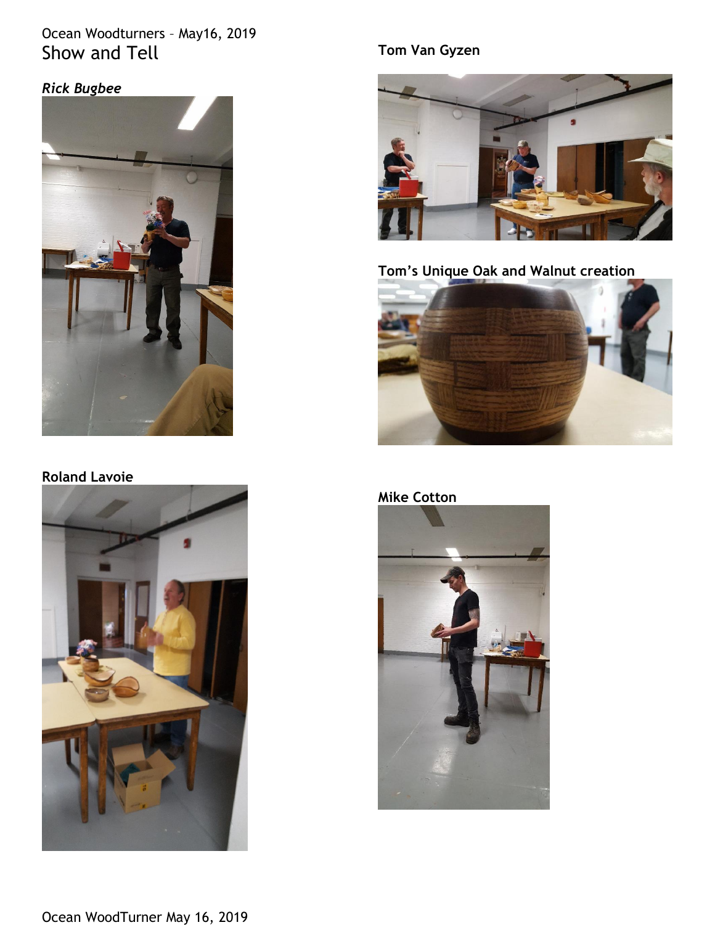## Ocean Woodturners – May16, 2019 Show and Tell

## *Rick Bugbee*



### **Roland Lavoie**



## **Tom Van Gyzen**



**Tom's Unique Oak and Walnut creation**



## **Mike Cotton**